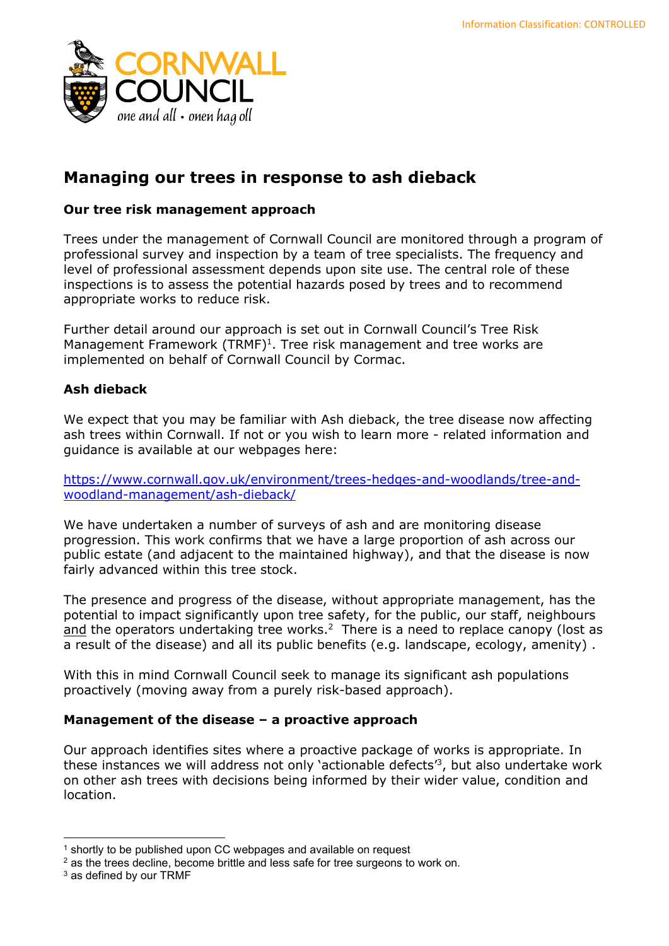

# Managing our trees in response to ash dieback

# Our tree risk management approach

Trees under the management of Cornwall Council are monitored through a program of professional survey and inspection by a team of tree specialists. The frequency and level of professional assessment depends upon site use. The central role of these inspections is to assess the potential hazards posed by trees and to recommend appropriate works to reduce risk.

Further detail around our approach is set out in Cornwall Council's Tree Risk Management Framework (TRMF)<sup>1</sup>. Tree risk management and tree works are implemented on behalf of Cornwall Council by Cormac.

# Ash dieback

We expect that you may be familiar with Ash dieback, the tree disease now affecting ash trees within Cornwall. If not or you wish to learn more - related information and guidance is available at our webpages here:

https://www.cornwall.gov.uk/environment/trees-hedges-and-woodlands/tree-andwoodland-management/ash-dieback/

We have undertaken a number of surveys of ash and are monitoring disease progression. This work confirms that we have a large proportion of ash across our public estate (and adjacent to the maintained highway), and that the disease is now fairly advanced within this tree stock.

The presence and progress of the disease, without appropriate management, has the potential to impact significantly upon tree safety, for the public, our staff, neighbours and the operators undertaking tree works.<sup>2</sup> There is a need to replace canopy (lost as a result of the disease) and all its public benefits (e.g. landscape, ecology, amenity) .

With this in mind Cornwall Council seek to manage its significant ash populations proactively (moving away from a purely risk-based approach).

## Management of the disease – a proactive approach

Our approach identifies sites where a proactive package of works is appropriate. In these instances we will address not only 'actionable defects'<sup>3</sup>, but also undertake work on other ash trees with decisions being informed by their wider value, condition and location.

<sup>&</sup>lt;sup>1</sup> shortly to be published upon CC webpages and available on request

<sup>&</sup>lt;sup>2</sup> as the trees decline, become brittle and less safe for tree surgeons to work on.

<sup>3</sup> as defined by our TRMF